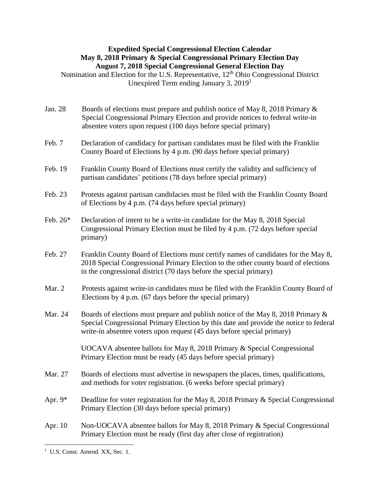## **Expedited Special Congressional Election Calendar May 8, 2018 Primary & Special Congressional Primary Election Day August 7, 2018 Special Congressional General Election Day**

Nomination and Election for the U.S. Representative,  $12<sup>th</sup>$  Ohio Congressional District Unexpired Term ending January 3, 2019 1

- Jan. 28 Boards of elections must prepare and publish notice of May 8, 2018 Primary & Special Congressional Primary Election and provide notices to federal write-in absentee voters upon request (100 days before special primary)
- Feb. 7 Declaration of candidacy for partisan candidates must be filed with the Franklin County Board of Elections by 4 p.m. (90 days before special primary)
- Feb. 19 Franklin County Board of Elections must certify the validity and sufficiency of partisan candidates' petitions (78 days before special primary)
- Feb. 23 Protests against partisan candidacies must be filed with the Franklin County Board of Elections by 4 p.m. (74 days before special primary)
- Feb. 26\* Declaration of intent to be a write-in candidate for the May 8, 2018 Special Congressional Primary Election must be filed by 4 p.m. (72 days before special primary)
- Feb. 27 Franklin County Board of Elections must certify names of candidates for the May 8, 2018 Special Congressional Primary Election to the other county board of elections in the congressional district (70 days before the special primary)
- Mar. 2 Protests against write-in candidates must be filed with the Franklin County Board of Elections by 4 p.m. (67 days before the special primary)
- Mar. 24 Boards of elections must prepare and publish notice of the May 8, 2018 Primary  $\&$ Special Congressional Primary Election by this date and provide the notice to federal write-in absentee voters upon request (45 days before special primary)

UOCAVA absentee ballots for May 8, 2018 Primary & Special Congressional Primary Election must be ready (45 days before special primary)

- Mar. 27 Boards of elections must advertise in newspapers the places, times, qualifications, and methods for voter registration. (6 weeks before special primary)
- Apr. 9\* Deadline for voter registration for the May 8, 2018 Primary  $\&$  Special Congressional Primary Election (30 days before special primary)
- Apr. 10 Non-UOCAVA absentee ballots for May 8, 2018 Primary & Special Congressional Primary Election must be ready (first day after close of registration)

 $\overline{a}$ <sup>1</sup> U.S. Const. Amend. XX, Sec. 1.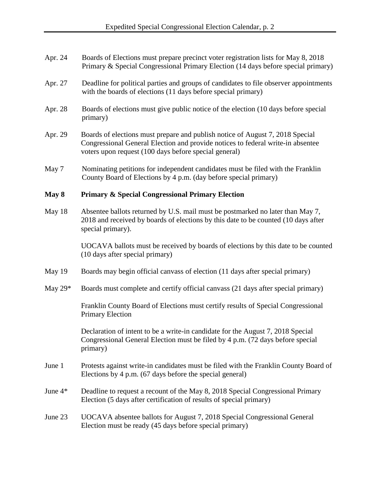- Apr. 24 Boards of Elections must prepare precinct voter registration lists for May 8, 2018 Primary & Special Congressional Primary Election (14 days before special primary)
- Apr. 27 Deadline for political parties and groups of candidates to file observer appointments with the boards of elections (11 days before special primary)
- Apr. 28 Boards of elections must give public notice of the election (10 days before special primary)
- Apr. 29 Boards of elections must prepare and publish notice of August 7, 2018 Special Congressional General Election and provide notices to federal write-in absentee voters upon request (100 days before special general)
- May 7 Nominating petitions for independent candidates must be filed with the Franklin County Board of Elections by 4 p.m. (day before special primary)

## **May 8 Primary & Special Congressional Primary Election**

May 18 Absentee ballots returned by U.S. mail must be postmarked no later than May 7, 2018 and received by boards of elections by this date to be counted (10 days after special primary).

> UOCAVA ballots must be received by boards of elections by this date to be counted (10 days after special primary)

- May 19 Boards may begin official canvass of election (11 days after special primary)
- May 29<sup>\*</sup> Boards must complete and certify official canvass (21 days after special primary)

Franklin County Board of Elections must certify results of Special Congressional Primary Election

Declaration of intent to be a write-in candidate for the August 7, 2018 Special Congressional General Election must be filed by 4 p.m. (72 days before special primary)

- June 1 Protests against write-in candidates must be filed with the Franklin County Board of Elections by 4 p.m. (67 days before the special general)
- June 4\* Deadline to request a recount of the May 8, 2018 Special Congressional Primary Election (5 days after certification of results of special primary)
- June 23 UOCAVA absentee ballots for August 7, 2018 Special Congressional General Election must be ready (45 days before special primary)